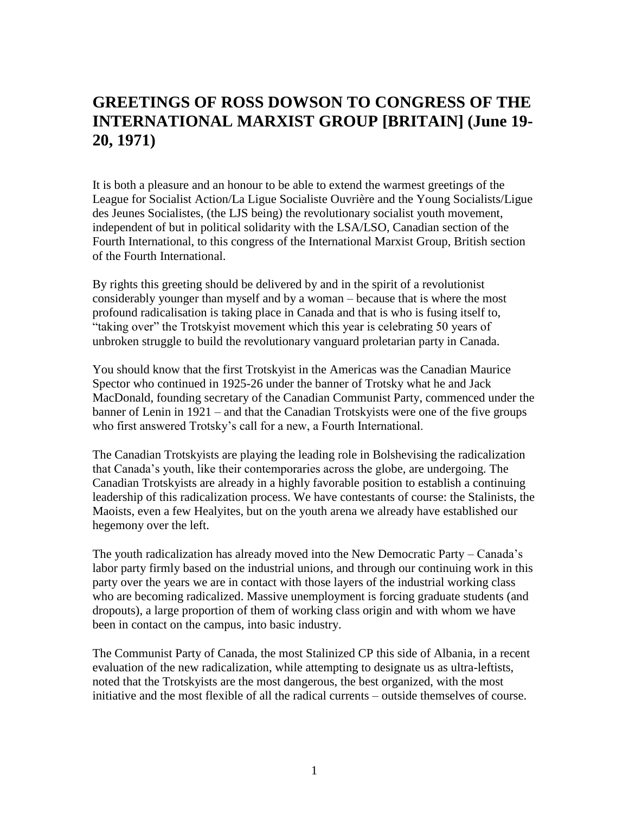## **GREETINGS OF ROSS DOWSON TO CONGRESS OF THE INTERNATIONAL MARXIST GROUP [BRITAIN] (June 19- 20, 1971)**

It is both a pleasure and an honour to be able to extend the warmest greetings of the League for Socialist Action/La Ligue Socialiste Ouvrière and the Young Socialists/Ligue des Jeunes Socialistes, (the LJS being) the revolutionary socialist youth movement, independent of but in political solidarity with the LSA/LSO, Canadian section of the Fourth International, to this congress of the International Marxist Group, British section of the Fourth International.

By rights this greeting should be delivered by and in the spirit of a revolutionist considerably younger than myself and by a woman – because that is where the most profound radicalisation is taking place in Canada and that is who is fusing itself to, "taking over" the Trotskyist movement which this year is celebrating 50 years of unbroken struggle to build the revolutionary vanguard proletarian party in Canada.

You should know that the first Trotskyist in the Americas was the Canadian Maurice Spector who continued in 1925-26 under the banner of Trotsky what he and Jack MacDonald, founding secretary of the Canadian Communist Party, commenced under the banner of Lenin in 1921 – and that the Canadian Trotskyists were one of the five groups who first answered Trotsky's call for a new, a Fourth International.

The Canadian Trotskyists are playing the leading role in Bolshevising the radicalization that Canada's youth, like their contemporaries across the globe, are undergoing. The Canadian Trotskyists are already in a highly favorable position to establish a continuing leadership of this radicalization process. We have contestants of course: the Stalinists, the Maoists, even a few Healyites, but on the youth arena we already have established our hegemony over the left.

The youth radicalization has already moved into the New Democratic Party – Canada's labor party firmly based on the industrial unions, and through our continuing work in this party over the years we are in contact with those layers of the industrial working class who are becoming radicalized. Massive unemployment is forcing graduate students (and dropouts), a large proportion of them of working class origin and with whom we have been in contact on the campus, into basic industry.

The Communist Party of Canada, the most Stalinized CP this side of Albania, in a recent evaluation of the new radicalization, while attempting to designate us as ultra-leftists, noted that the Trotskyists are the most dangerous, the best organized, with the most initiative and the most flexible of all the radical currents – outside themselves of course.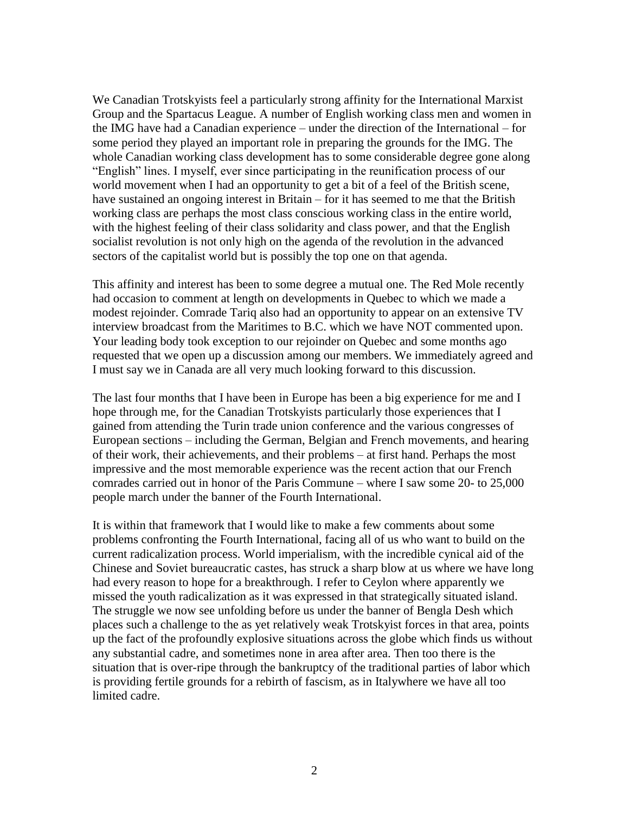We Canadian Trotskyists feel a particularly strong affinity for the International Marxist Group and the Spartacus League. A number of English working class men and women in the IMG have had a Canadian experience – under the direction of the International – for some period they played an important role in preparing the grounds for the IMG. The whole Canadian working class development has to some considerable degree gone along "English" lines. I myself, ever since participating in the reunification process of our world movement when I had an opportunity to get a bit of a feel of the British scene, have sustained an ongoing interest in Britain – for it has seemed to me that the British working class are perhaps the most class conscious working class in the entire world, with the highest feeling of their class solidarity and class power, and that the English socialist revolution is not only high on the agenda of the revolution in the advanced sectors of the capitalist world but is possibly the top one on that agenda.

This affinity and interest has been to some degree a mutual one. The Red Mole recently had occasion to comment at length on developments in Quebec to which we made a modest rejoinder. Comrade Tariq also had an opportunity to appear on an extensive TV interview broadcast from the Maritimes to B.C. which we have NOT commented upon. Your leading body took exception to our rejoinder on Quebec and some months ago requested that we open up a discussion among our members. We immediately agreed and I must say we in Canada are all very much looking forward to this discussion.

The last four months that I have been in Europe has been a big experience for me and I hope through me, for the Canadian Trotskyists particularly those experiences that I gained from attending the Turin trade union conference and the various congresses of European sections – including the German, Belgian and French movements, and hearing of their work, their achievements, and their problems – at first hand. Perhaps the most impressive and the most memorable experience was the recent action that our French comrades carried out in honor of the Paris Commune – where I saw some 20- to 25,000 people march under the banner of the Fourth International.

It is within that framework that I would like to make a few comments about some problems confronting the Fourth International, facing all of us who want to build on the current radicalization process. World imperialism, with the incredible cynical aid of the Chinese and Soviet bureaucratic castes, has struck a sharp blow at us where we have long had every reason to hope for a breakthrough. I refer to Ceylon where apparently we missed the youth radicalization as it was expressed in that strategically situated island. The struggle we now see unfolding before us under the banner of Bengla Desh which places such a challenge to the as yet relatively weak Trotskyist forces in that area, points up the fact of the profoundly explosive situations across the globe which finds us without any substantial cadre, and sometimes none in area after area. Then too there is the situation that is over-ripe through the bankruptcy of the traditional parties of labor which is providing fertile grounds for a rebirth of fascism, as in Italywhere we have all too limited cadre.